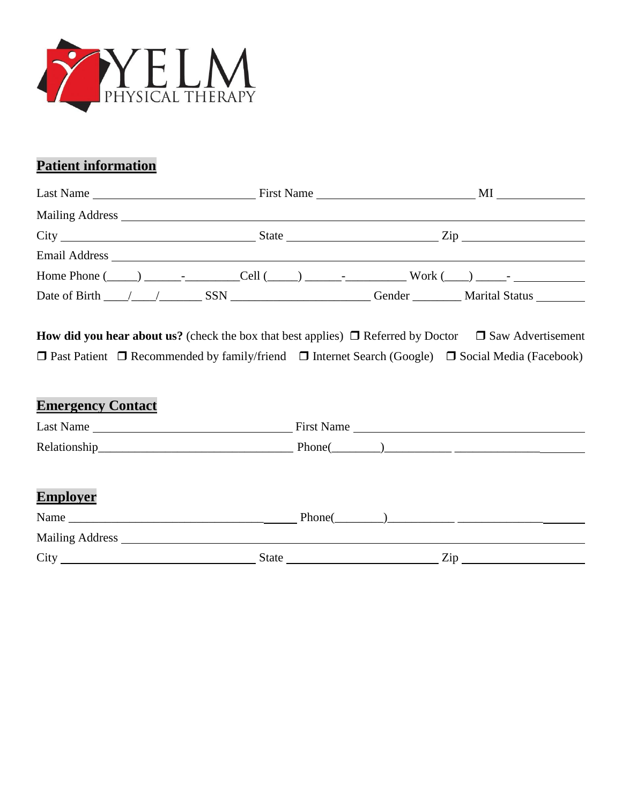

# **Patient information**

|                                              |  |  |  | Home Phone $(\_\_\_\_\_\_\$ $\_\_\_\_$ Cell $(\_\_\_\_\_\_\_\_$ $\_\_\_$ |  |
|----------------------------------------------|--|--|--|--------------------------------------------------------------------------|--|
| Date of Birth $\angle$ $\angle$ $\angle$ SSN |  |  |  | Gender Marital Status                                                    |  |

**How did you hear about us?** (check the box that best applies)  $\Box$  Referred by Doctor  $\Box$  Saw Advertisement  $\Box$  Past Patient  $\Box$  Recommended by family/friend  $\Box$  Internet Search (Google)  $\Box$  Social Media (Facebook)

# **Emergency Contact** Last Name First Name Relationship\_\_\_\_\_\_\_\_\_\_\_\_\_\_\_\_\_\_\_\_\_\_\_\_\_\_\_\_\_\_\_\_ Phone(\_\_\_\_\_\_\_\_)\_\_\_\_\_\_\_\_\_\_\_ \_\_\_\_\_\_\_\_\_\_\_\_\_\_ **Employer** Name \_\_\_\_\_\_\_\_\_\_\_\_\_\_\_\_\_\_\_\_\_\_\_\_\_\_\_\_\_\_\_\_ Phone(\_\_\_\_\_\_\_\_)\_\_\_\_\_\_\_\_\_\_\_ \_\_\_\_\_\_\_\_\_\_\_\_\_\_ Mailing Address City State Zip